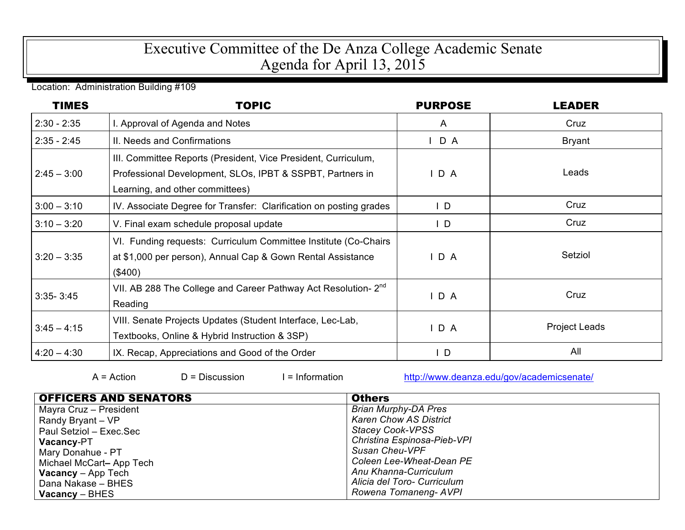## Executive Committee of the De Anza College Academic Senate Agenda for April 13, 2015

Location: Administration Building #109

| <b>TIMES</b>  | <b>TOPIC</b>                                                                                                                                                   | <b>PURPOSE</b> | <b>LEADER</b>        |
|---------------|----------------------------------------------------------------------------------------------------------------------------------------------------------------|----------------|----------------------|
| $2:30 - 2:35$ | . Approval of Agenda and Notes                                                                                                                                 | A              | Cruz                 |
| $2:35 - 2:45$ | II. Needs and Confirmations                                                                                                                                    | $I$ D A        | <b>Bryant</b>        |
| $2:45 - 3:00$ | III. Committee Reports (President, Vice President, Curriculum,<br>Professional Development, SLOs, IPBT & SSPBT, Partners in<br>Learning, and other committees) | D A            | Leads                |
| $3:00 - 3:10$ | IV. Associate Degree for Transfer: Clarification on posting grades                                                                                             | $\mathsf{L}$   | Cruz                 |
| $3:10 - 3:20$ | V. Final exam schedule proposal update                                                                                                                         | $\mathsf{L}$   | Cruz                 |
| $3:20 - 3:35$ | VI. Funding requests: Curriculum Committee Institute (Co-Chairs<br>at \$1,000 per person), Annual Cap & Gown Rental Assistance<br>(\$400)                      | D A            | Setziol              |
| $3:35 - 3:45$ | VII. AB 288 The College and Career Pathway Act Resolution- 2 <sup>nd</sup><br>Reading                                                                          | D A            | Cruz                 |
| $3:45 - 4:15$ | VIII. Senate Projects Updates (Student Interface, Lec-Lab,<br>Textbooks, Online & Hybrid Instruction & 3SP)                                                    | D A            | <b>Project Leads</b> |
| $4:20 - 4:30$ | IX. Recap, Appreciations and Good of the Order                                                                                                                 | $\mathsf{L}$   | All                  |

D = Discussion I = Information http://www.deanza.edu/gov/academicsenate/

| <b>OFFICERS AND SENATORS</b> | <b>Others</b>                 |
|------------------------------|-------------------------------|
| Mayra Cruz - President       | <b>Brian Murphy-DA Pres</b>   |
| Randy Bryant - VP            | <b>Karen Chow AS District</b> |
| Paul Setziol - Exec.Sec      | <b>Stacey Cook-VPSS</b>       |
| <b>Vacancy-PT</b>            | Christina Espinosa-Pieb-VPI   |
| Mary Donahue - PT            | <b>Susan Cheu-VPF</b>         |
| Michael McCart-App Tech      | Coleen Lee-Wheat-Dean PE      |
| <b>Vacancy</b> – App Tech    | Anu Khanna-Curriculum         |
| Dana Nakase - BHES           | Alicia del Toro- Curriculum   |
| $Vacancy - BHES$             | Rowena Tomaneng-AVPI          |